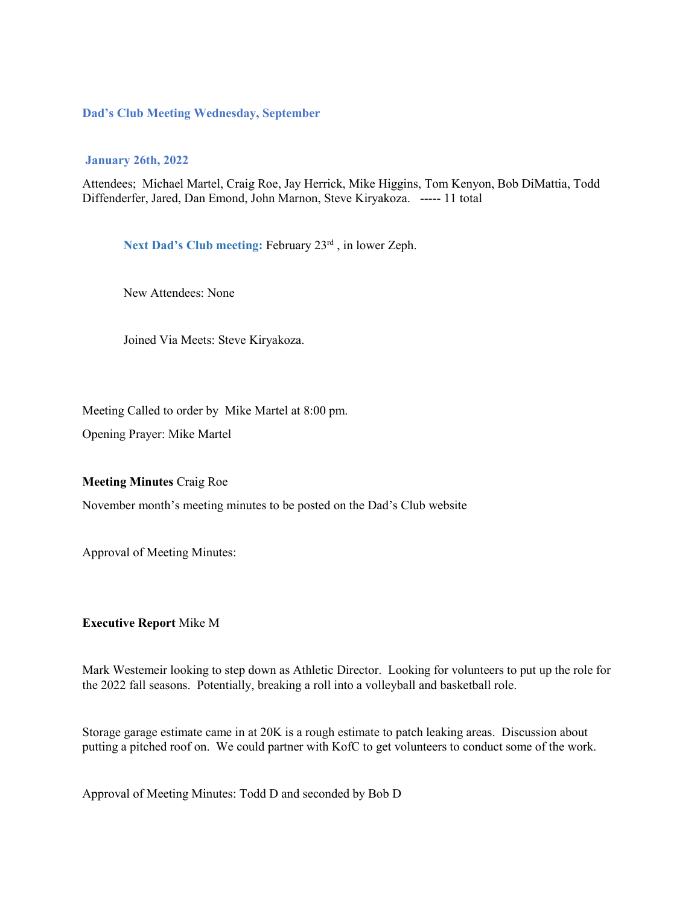### **Dad's Club Meeting Wednesday, September**

#### **January 26th, 2022**

Attendees; Michael Martel, Craig Roe, Jay Herrick, Mike Higgins, Tom Kenyon, Bob DiMattia, Todd Diffenderfer, Jared, Dan Emond, John Marnon, Steve Kiryakoza. ----- 11 total

Next Dad's Club meeting: February 23<sup>rd</sup>, in lower Zeph.

New Attendees: None

Joined Via Meets: Steve Kiryakoza.

Meeting Called to order by Mike Martel at 8:00 pm.

Opening Prayer: Mike Martel

**Meeting Minutes** Craig Roe

November month's meeting minutes to be posted on the Dad's Club website

Approval of Meeting Minutes:

#### **Executive Report** Mike M

Mark Westemeir looking to step down as Athletic Director. Looking for volunteers to put up the role for the 2022 fall seasons. Potentially, breaking a roll into a volleyball and basketball role.

Storage garage estimate came in at 20K is a rough estimate to patch leaking areas. Discussion about putting a pitched roof on. We could partner with KofC to get volunteers to conduct some of the work.

Approval of Meeting Minutes: Todd D and seconded by Bob D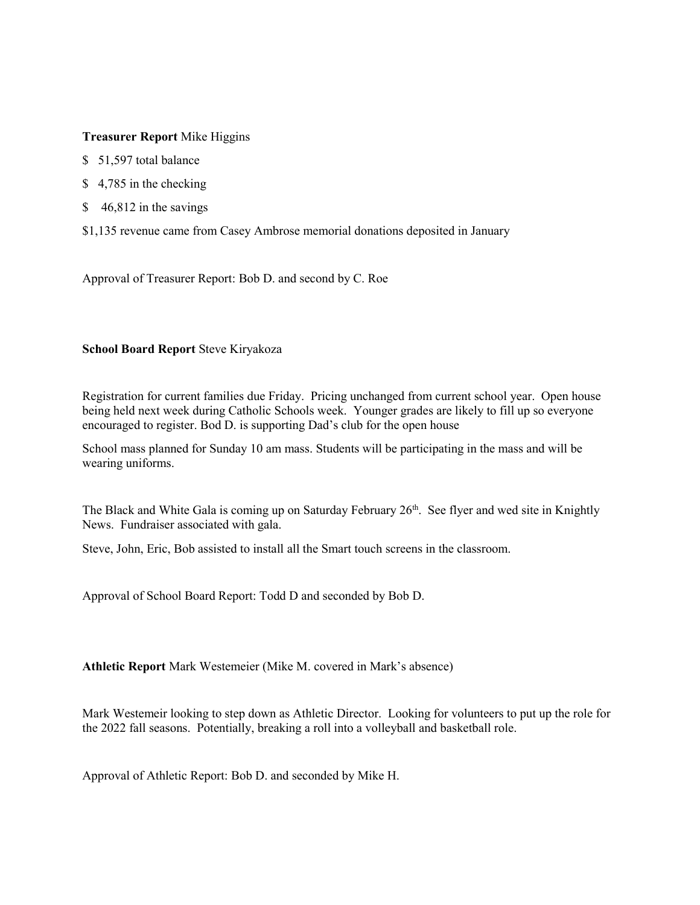## **Treasurer Report** Mike Higgins

- \$ 51,597 total balance
- \$4,785 in the checking
- \$46,812 in the savings
- \$1,135 revenue came from Casey Ambrose memorial donations deposited in January

Approval of Treasurer Report: Bob D. and second by C. Roe

## **School Board Report** Steve Kiryakoza

Registration for current families due Friday. Pricing unchanged from current school year. Open house being held next week during Catholic Schools week. Younger grades are likely to fill up so everyone encouraged to register. Bod D. is supporting Dad's club for the open house

School mass planned for Sunday 10 am mass. Students will be participating in the mass and will be wearing uniforms.

The Black and White Gala is coming up on Saturday February 26<sup>th</sup>. See flyer and wed site in Knightly News. Fundraiser associated with gala.

Steve, John, Eric, Bob assisted to install all the Smart touch screens in the classroom.

Approval of School Board Report: Todd D and seconded by Bob D.

**Athletic Report** Mark Westemeier (Mike M. covered in Mark's absence)

Mark Westemeir looking to step down as Athletic Director. Looking for volunteers to put up the role for the 2022 fall seasons. Potentially, breaking a roll into a volleyball and basketball role.

Approval of Athletic Report: Bob D. and seconded by Mike H.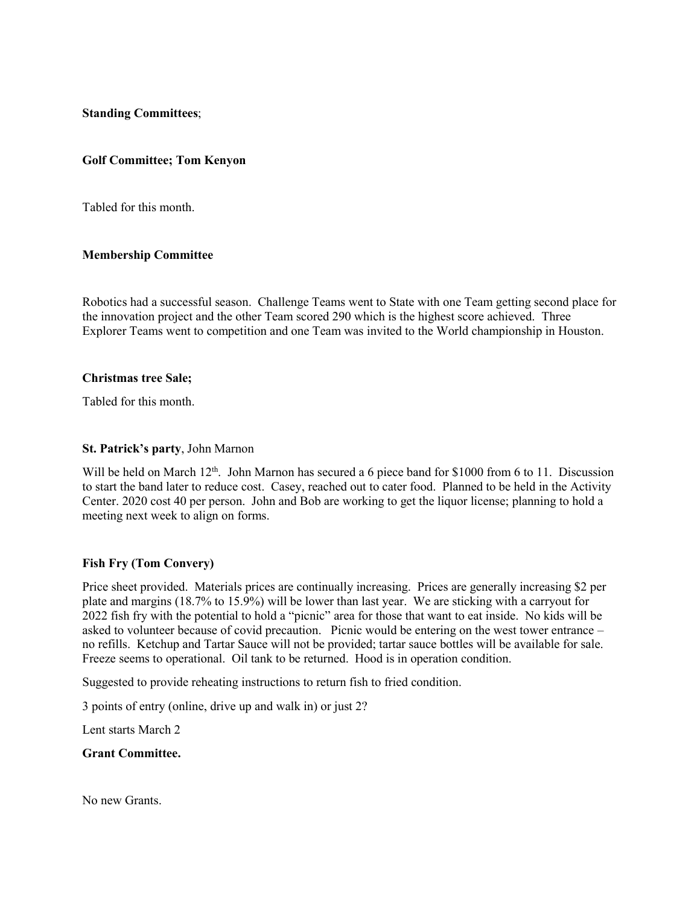**Standing Committees**;

## **Golf Committee; Tom Kenyon**

Tabled for this month.

## **Membership Committee**

Robotics had a successful season. Challenge Teams went to State with one Team getting second place for the innovation project and the other Team scored 290 which is the highest score achieved. Three Explorer Teams went to competition and one Team was invited to the World championship in Houston.

## **Christmas tree Sale;**

Tabled for this month.

## **St. Patrick's party**, John Marnon

Will be held on March 12<sup>th</sup>. John Marnon has secured a 6 piece band for \$1000 from 6 to 11. Discussion to start the band later to reduce cost. Casey, reached out to cater food. Planned to be held in the Activity Center. 2020 cost 40 per person. John and Bob are working to get the liquor license; planning to hold a meeting next week to align on forms.

# **Fish Fry (Tom Convery)**

Price sheet provided. Materials prices are continually increasing. Prices are generally increasing \$2 per plate and margins (18.7% to 15.9%) will be lower than last year. We are sticking with a carryout for 2022 fish fry with the potential to hold a "picnic" area for those that want to eat inside. No kids will be asked to volunteer because of covid precaution. Picnic would be entering on the west tower entrance – no refills. Ketchup and Tartar Sauce will not be provided; tartar sauce bottles will be available for sale. Freeze seems to operational. Oil tank to be returned. Hood is in operation condition.

Suggested to provide reheating instructions to return fish to fried condition.

3 points of entry (online, drive up and walk in) or just 2?

Lent starts March 2

## **Grant Committee.**

No new Grants.